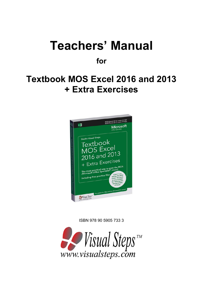# **Teachers' Manual**

**for**

## **Textbook MOS Excel 2016 and 2013 + Extra Exercises**



ISBN 978 90 5905 733 3

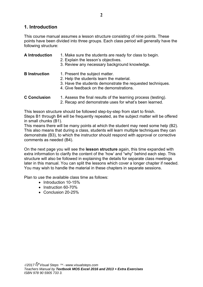## **1. Introduction**

This course manual assumes a lesson structure consisting of nine points. These points have been divided into three groups. Each class period will generally have the following structure:

## **A Introduction** 1. Make sure the students are ready for class to begin.

- 2. Explain the lesson's objectives.
- 3. Review any necessary background knowledge.
- **B Instruction** 1. Present the subject matter.
	- 2. Help the students learn the material.
	- 3. Have the students demonstrate the requested techniques.
	- 4. Give feedback on the demonstrations.
- **C Conclusion** 1. Assess the final results of the learning process (testing).
	- 2. Recap and demonstrate uses for what's been learned.

This lesson structure should be followed step-by-step from start to finish.

Steps B1 through B4 will be frequently repeated, as the subject matter will be offered in small chunks (B1).

This means there will be many points at which the student may need some help (B2). This also means that during a class, students will learn multiple techniques they can demonstrate (B3), to which the instructor should respond with approval or corrective comments as needed (B4).

On the next page you will see the **lesson structure** again, this time expanded with extra information to clarify the content of the 'how' and "why" behind each step. This structure will also be followed in explaining the details for separate class meetings later in this manual. You can split the lessons which cover a longer chapter if needed. You may wish to handle the material in these chapters in separate sessions.

Plan to use the available class time as follows:

- Introduction 10-15%
- Instruction 60-70%
- Conclusion 20-25%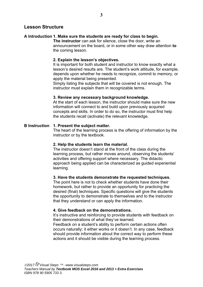## **Lesson Structure**

## **A Introduction 1. Make sure the students are ready for class to begin.**

**The instructor** can ask for silence, close the door, write an announcement on the board, or in some other way draw attention **to** the coming lesson.

## **2. Explain the lesson's objectives.**

It is important for both student and instructor to know exactly what a lesson's desired results are. The student's work attitude, for example, depends upon whether he needs to recognize, commit to memory, or apply the material being presented.

Simply listing the subjects that will be covered is not enough. The instructor must explain them in recognizable terms.

## **3. Review any necessary background knowledge.**

At the start of each lesson, the instructor should make sure the new information will connect to and build upon previously acquired concepts and skills. In order to do so, the instructor must first help the students recall (activate) the relevant knowledge.

## **B Instruction 1. Present the subject matter.**

The heart of the learning process is the offering of information by the instructor or by the textbook.

## **2. Help the students learn the material.**

The instructor doesn't stand at the front of the class during the learning process, but rather moves around, observing the students' activities and offering support where necessary. The didactic approach being applied can be characterized as guided experiential learning.

## **3. Have the students demonstrate the requested techniques.**

The point here is not to check whether students have done their homework, but rather to provide an opportunity for practicing the desired (final) techniques. Specific questions will give the students the opportunity to demonstrate to themselves and to the instructor that they understand or can apply the information.

## **4. Give feedback on the demonstrations.**

It's instructive and reinforcing to provide students with feedback on their demonstrations of what they've learned.

Feedback on a student's ability to perform certain actions often occurs naturally: it either works or it doesn't. In any case, feedback should provide information about the correct way to perform these actions and it should be visible during the learning process.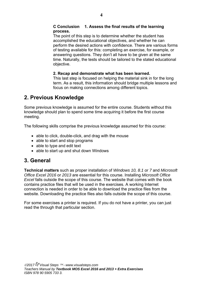## **C Conclusion 1. Assess the final results of the learning process.**

The point of this step is to determine whether the student has accomplished the educational objectives, and whether he can perform the desired actions with confidence. There are various forms of testing available for this: completing an exercise, for example, or answering questions. They don't all have to be given at the same time. Naturally, the tests should be tailored to the stated educational objective.

## **2. Recap and demonstrate what has been learned.**

This last step is focused on helping the material sink in for the long term. As a result, this information should bridge multiple lessons and focus on making connections among different topics.

## **2. Previous Knowledge**

Some previous knowledge is assumed for the entire course. Students without this knowledge should plan to spend some time acquiring it before the first course meeting.

The following skills comprise the previous knowledge assumed for this course:

- able to click, double-click, and drag with the mouse
- able to start and stop programs
- able to type and edit text
- able to start up and shut down Windows

## **3. General**

**Technical matters** such as proper installation of *Windows 10, 8.1 or 7* and *Microsoft Office Excel 2016* or *2013* are essential for this course. Installing *Microsoft Office Excel* falls outside the scope of this course. The website that comes with the book contains practice files that will be used in the exercises. A working Internet connection is needed in order to be able to download the practice files from the website. Downloading the practice files also falls outside the scope of this course.

For some exercises a printer is required. If you do not have a printer, you can just read the through that particular section.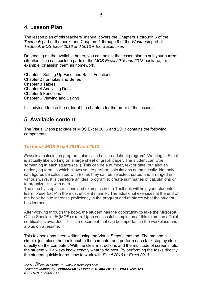## **4. Lesson Plan**

The lesson plan of this teachers' manual covers the Chapters 1 through 6 of the *Textbook* part of the book, and Chapters 1 through 9 of the *Workbook* part of *Textbook MOS Excel 2016 and 2013 + Extra Exercises* 

Depending on the available hours, you can adjust the lesson plan to suit your current situation. You can exclude parts of the *MOS Excel 2016 and 2013* package, for example, or assign them as homework.

Chapter 1 Setting Up Excel and Basic Functions Chapter 2 Formulas and Series Chapter 3 Tables Chapter 4 Analyzing Data Chapter 5 Functions Chapter 6 Viewing and Saving

It is advised to use the order of the chapters for the order of the lessons.

## **5. Available content**

The Visual Steps package of MOS Excel 2016 and 2013 contains the following components:

## *Textbook MOS Excel 2016 and 2013*

*Excel* is a calculation program, also called a 'spreadsheet program'. Working in Excel is actually like working on a large sheet of graph paper. The student can type something in each square (cell). This can be a number, text or date, but also an underlying formula which allows you to perform calculations automatically. Not only can figures be calculated with *Excel*, they can be selected, sorted and arranged in various ways. It is therefore an ideal program to create summaries of calculations or to organize lists with data.

The step by step instructions and examples in the Textbook will help your students learn to use *Excel* in the most efficient manner. The additional exercises at the end of the book help to increase proficiency in the program and reinforce what the student has learned.

After working through the book, the student has the opportunity to take the Microsoft Office Specialist ® (MOS) exam. Upon successful completion of this exam, an official certificate is awarded. This is a document that can be important in the workplace and a plus on a resume.

This textbook has been written using the Visual Steps<sup> $TM$ </sup> method. The method is simple: just place the book next to the computer and perform each task step by step directly on the computer. With the clear instructions and the multitude of screenshots, the student will always know exactly what to do next. By performing the tasks directly, the student quickly learns how to work with *Excel 2016* or *Excel 2013*.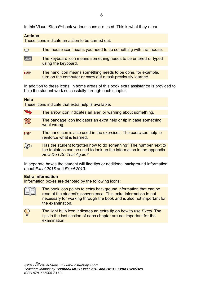In this Visual Steps™ book various icons are used. This is what they mean:

## **Action s**

These icons indicate an action to be carried out:

| $\bigoplus$  | The mouse icon means you need to do something with the mouse.                                                                |
|--------------|------------------------------------------------------------------------------------------------------------------------------|
|              |                                                                                                                              |
| <b>FRAME</b> | The keyboard icon means something needs to be entered or typed<br>using the keyboard.                                        |
|              |                                                                                                                              |
| LL           | The hand icon means something needs to be done, for example,<br>turn on the computer or carry out a task previously learned. |

In addition to these icons, in some areas of this book extra assistance is provided to help the student work successfully through each chapter.

## **Help**

These icons indicate that extra help is available:

| $\rightarrow$ | The arrow icon indicates an alert or warning about something. |
|---------------|---------------------------------------------------------------|
|               |                                                               |

- The bandage icon indicates an extra help or tip in case something went wrong.
- The hand icon is also used in the exercises. The exercises help to **Ite** reinforce what is learned.
- **1** Has the student forgotten how to do something? The number next to<br>the footsteps can be used to look up the information in the appendix<br>How Do I Do That Again?<br>In separate boxes the student will find tips or additional back Has the student forgotten how to do something? The number next to the footsteps can be used to look up the information in the appendix **How Do I Do That Again?**

about *E Excel 2016 6* and *Exce el 2013*.

#### **Extra information**

Information boxes are denoted by the following icons:

The book icon points to extra background information that can be read at the student's convenience. This extra information is not necessary for working through the book and is also not important for the exa amination.

The light bulb icon indicates an extra tip on how to use *Excel*. The tips in the last section of each chapter are not important for the examination.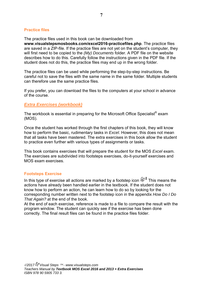## **Practice files**

The practice files used in this book can be downloaded from **www.visualstepsmosbooks.com/excel2016-practicefiles.php**. The practice files are saved in a ZIP-file. If the practice files are not yet on the student's computer, they will first need to be copied to the *(My) Documents* folder. A PDF file on the website describes how to do this. Carefully follow the instructions given in the PDF file. If the student does not do this, the practice files may end up in the wrong folder.

The practice files can be used while performing the step-by-step instructions. Be careful not to save the files with the same name in the same folder. Multiple students can therefore use the same practice files.

If you prefer, you can download the files to the computers at your school in advance of the course.

## *Extra Exercises (workbook)*

The workbook is essential in preparing for the Microsoft Office Specialist® exam (MOS).

Once the student has worked through the first chapters of this book, they will know how to perform the basic, rudimentary tasks in *Excel*. However, this does not mean that all tasks have been mastered. The extra exercises in this book allow the student to practice even further with various types of assignments or tasks.

This book contains exercises that will prepare the student for the MOS *Excel* exam. The exercises are subdivided into footsteps exercises, do-it-yourself exercises and MOS exam exercises.

## **Footsteps Exercise**

In this type of exercise all actions are marked by a footstep icon  $\mathscr{D}^1$  This means the actions have already been handled earlier in the textbook. If the student does not know how to perform an action, he can learn how to do so by looking for the corresponding number written next to the footstep icon in the appendix *How Do I Do That Again?* at the end of the book.

At the end of each exercise, reference is made to a file to compare the result with the program window. The student can quickly see if the exercise has been done correctly. The final result files can be found in the practice files folder.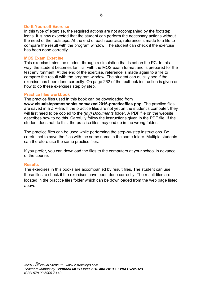#### **Do-It-Yourself Exercise**

In this type of exercise, the required actions are not accompanied by the footstep icons. It is now expected that the student can perform the necessary actions without the need of the footsteps. At the end of each exercise, reference is made to a file to compare the result with the program window. The student can check if the exercise has been done correctly.

#### **MOS Exam Exercise**

This exercise trains the student through a simulation that is set on the PC. In this way, the student becomes familiar with the MOS exam format and is prepared for the test environment. At the end of the exercise, reference is made again to a file to compare the result with the program window. The student can quickly see if the exercise has been done correctly. On page 262 of the textbook instruction is given on how to do these exercises step by step.

#### **Practice files workbook**

The practice files used in this book can be downloaded from **www.visualstepsmosbooks.com/excel2016-practicefiles.php**. The practice files are saved in a ZIP-file. If the practice files are not yet on the student's computer, they will first need to be copied to the *(My) Documents* folder. A PDF file on the website describes how to do this. Carefully follow the instructions given in the PDF file! If the

student does not do this, the practice files may end up in the wrong folder.

The practice files can be used while performing the step-by-step instructions. Be careful not to save the files with the same name in the same folder. Multiple students can therefore use the same practice files.

If you prefer, you can download the files to the computers at your school in advance of the course.

## **Results**

The exercises in this books are accompanied by result files. The student can use these files to check if the exercises have been done correctly. The result files are located in the practice files folder which can be downloaded from the web page listed above.